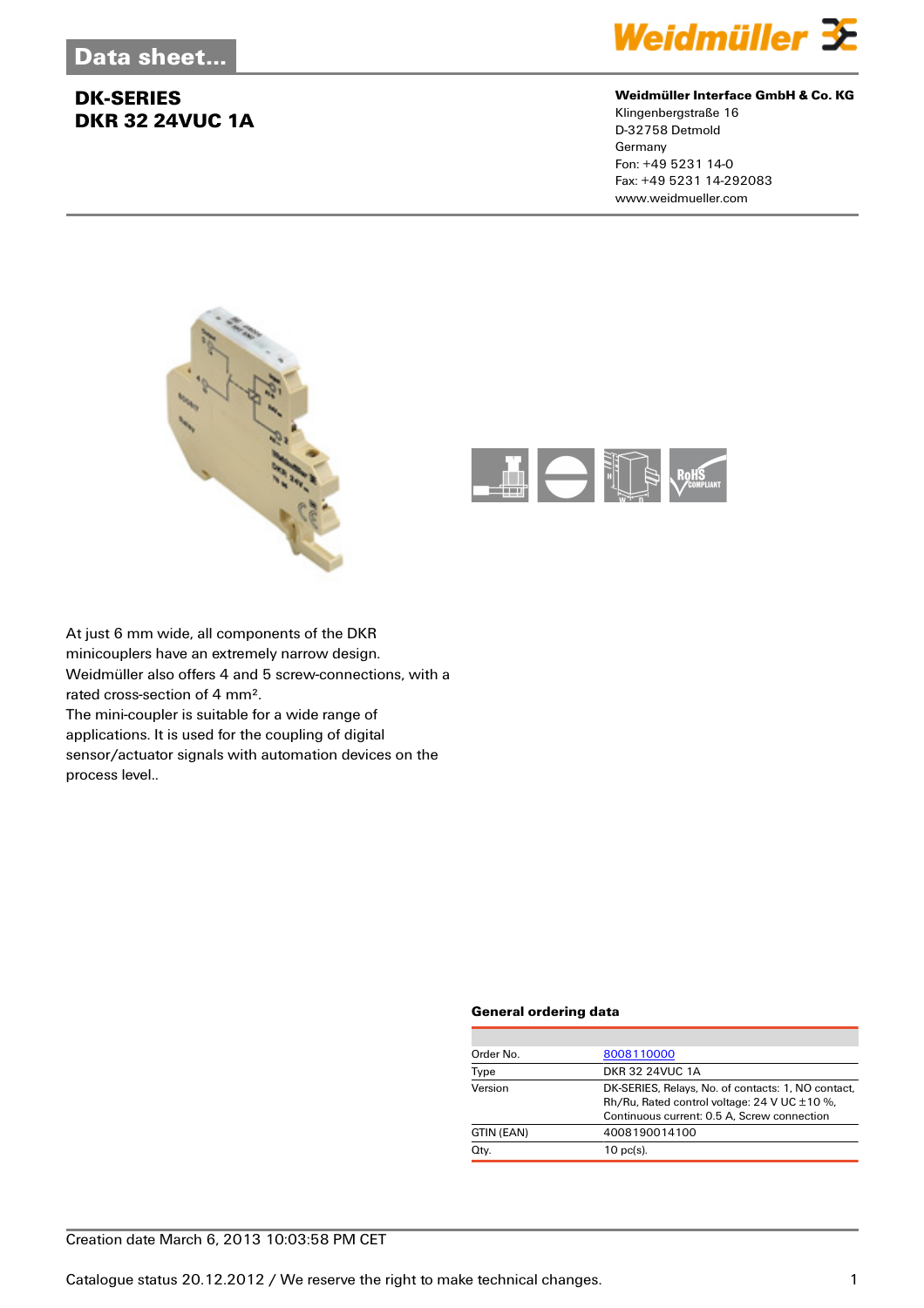

#### **Weidmüller Interface GmbH & Co. KG**

Klingenbergstraße 16 D-32758 Detmold Germany Fon: +49 5231 14-0 Fax: +49 5231 14-292083 www.weidmueller.com





At just 6 mm wide, all components of the DKR minicouplers have an extremely narrow design. Weidmüller also offers 4 and 5 screw-connections, with a rated cross-section of 4 mm². The mini-coupler is suitable for a wide range of

applications. It is used for the coupling of digital sensor/actuator signals with automation devices on the process level..

### **General ordering data**

| Order No.  | 8008110000                                                                                                                                             |
|------------|--------------------------------------------------------------------------------------------------------------------------------------------------------|
| Type       | <b>DKR 32 24VUC 1A</b>                                                                                                                                 |
| Version    | DK-SERIES, Relays, No. of contacts: 1, NO contact,<br>Rh/Ru, Rated control voltage: 24 V UC $\pm$ 10 %,<br>Continuous current: 0.5 A, Screw connection |
| GTIN (EAN) | 4008190014100                                                                                                                                          |
| Qty.       | $10$ pc(s).                                                                                                                                            |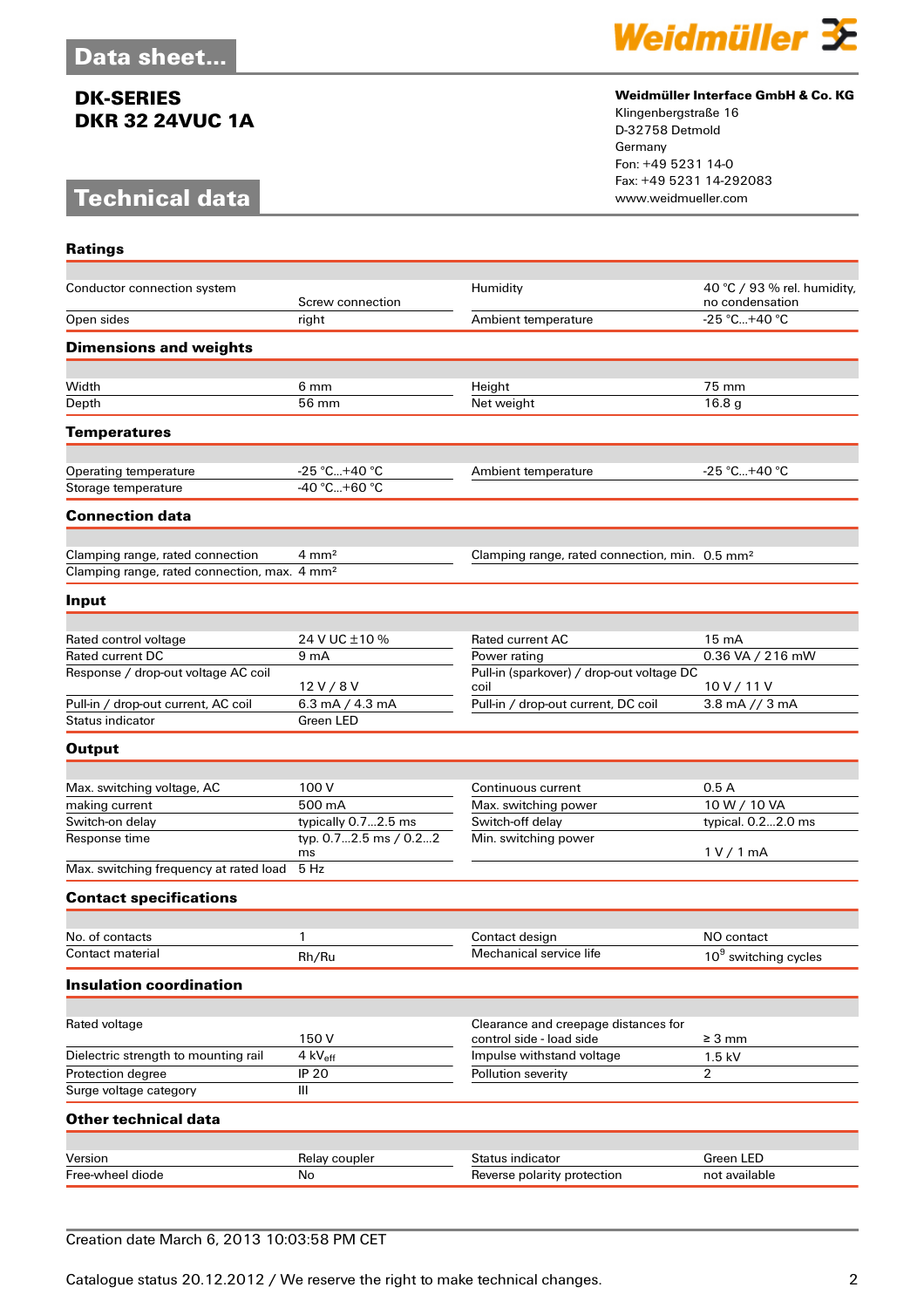# **Technical data**

**Ratings**



#### **Weidmüller Interface GmbH & Co. KG**

Klingenbergstraße 16 D-32758 Detmold Germany Fon: +49 5231 14-0 Fax: +49 5231 14-292083

| Conductor connection system                              | Screw connection               | Humidity                                                         | 40 °C / 93 % rel. humidity,<br>no condensation |
|----------------------------------------------------------|--------------------------------|------------------------------------------------------------------|------------------------------------------------|
| Open sides                                               | right                          | Ambient temperature                                              | $-25 °C+40 °C$                                 |
| <b>Dimensions and weights</b>                            |                                |                                                                  |                                                |
|                                                          |                                |                                                                  |                                                |
| Width                                                    | 6 mm                           | Height                                                           | 75 mm                                          |
| Depth                                                    | 56 mm                          | Net weight                                                       | 16.8 <sub>g</sub>                              |
| <b>Temperatures</b>                                      |                                |                                                                  |                                                |
|                                                          |                                |                                                                  |                                                |
| Operating temperature<br>Storage temperature             | $-25 °C+40 °C$<br>-40 °C+60 °C | Ambient temperature                                              | $-25 °C+40 °C$                                 |
|                                                          |                                |                                                                  |                                                |
| <b>Connection data</b>                                   |                                |                                                                  |                                                |
| Clamping range, rated connection                         | $4 \text{ mm}^2$               | Clamping range, rated connection, min. 0.5 mm <sup>2</sup>       |                                                |
| Clamping range, rated connection, max. 4 mm <sup>2</sup> |                                |                                                                  |                                                |
| Input                                                    |                                |                                                                  |                                                |
|                                                          |                                |                                                                  |                                                |
| Rated control voltage                                    | 24 V UC ±10 %                  | Rated current AC                                                 | 15 mA                                          |
| Rated current DC                                         | 9 <sub>mA</sub>                | Power rating                                                     | 0.36 VA / 216 mW                               |
| Response / drop-out voltage AC coil                      | 12V/8V                         | Pull-in (sparkover) / drop-out voltage DC<br>coil                | 10V/11V                                        |
| Pull-in / drop-out current, AC coil                      | 6.3 mA $/$ 4.3 mA              | Pull-in / drop-out current, DC coil                              | 3.8 mA $\frac{1}{3}$ mA                        |
| Status indicator                                         | Green LED                      |                                                                  |                                                |
| <b>Output</b>                                            |                                |                                                                  |                                                |
|                                                          |                                |                                                                  |                                                |
| Max. switching voltage, AC                               | 100 V                          | Continuous current                                               | 0.5A                                           |
| making current                                           | 500 mA                         | Max. switching power                                             | 10 W / 10 VA                                   |
| Switch-on delay                                          | typically 0.72.5 ms            | Switch-off delay                                                 | typical. 0.22.0 ms                             |
| Response time                                            | typ. 0.72.5 ms / 0.22<br>ms    | Min. switching power                                             | 1 V / 1 mA                                     |
| Max. switching frequency at rated load                   | 5 Hz                           |                                                                  |                                                |
| <b>Contact specifications</b>                            |                                |                                                                  |                                                |
|                                                          |                                |                                                                  |                                                |
| No. of contacts                                          | 1                              | Contact design                                                   | NO contact                                     |
| Contact material                                         | Rh/Ru                          | Mechanical service life                                          | $10^9$ switching cycles                        |
| <b>Insulation coordination</b>                           |                                |                                                                  |                                                |
|                                                          |                                |                                                                  |                                                |
| Rated voltage                                            | 150V                           | Clearance and creepage distances for<br>control side - load side | $\geq 3$ mm                                    |
| Dielectric strength to mounting rail                     | 4 $kV_{\text{eff}}$            | Impulse withstand voltage                                        | $1.5$ kV                                       |
| Protection degree                                        | <b>IP 20</b>                   | Pollution severity                                               | $\overline{2}$                                 |
| Surge voltage category                                   | Ш                              |                                                                  |                                                |
| Other technical data                                     |                                |                                                                  |                                                |
|                                                          |                                |                                                                  |                                                |
| Version<br>Free-wheel diode                              | Relay coupler<br>No            | Status indicator<br>Reverse polarity protection                  | Green LED<br>not available                     |
|                                                          |                                |                                                                  |                                                |

Creation date March 6, 2013 10:03:58 PM CET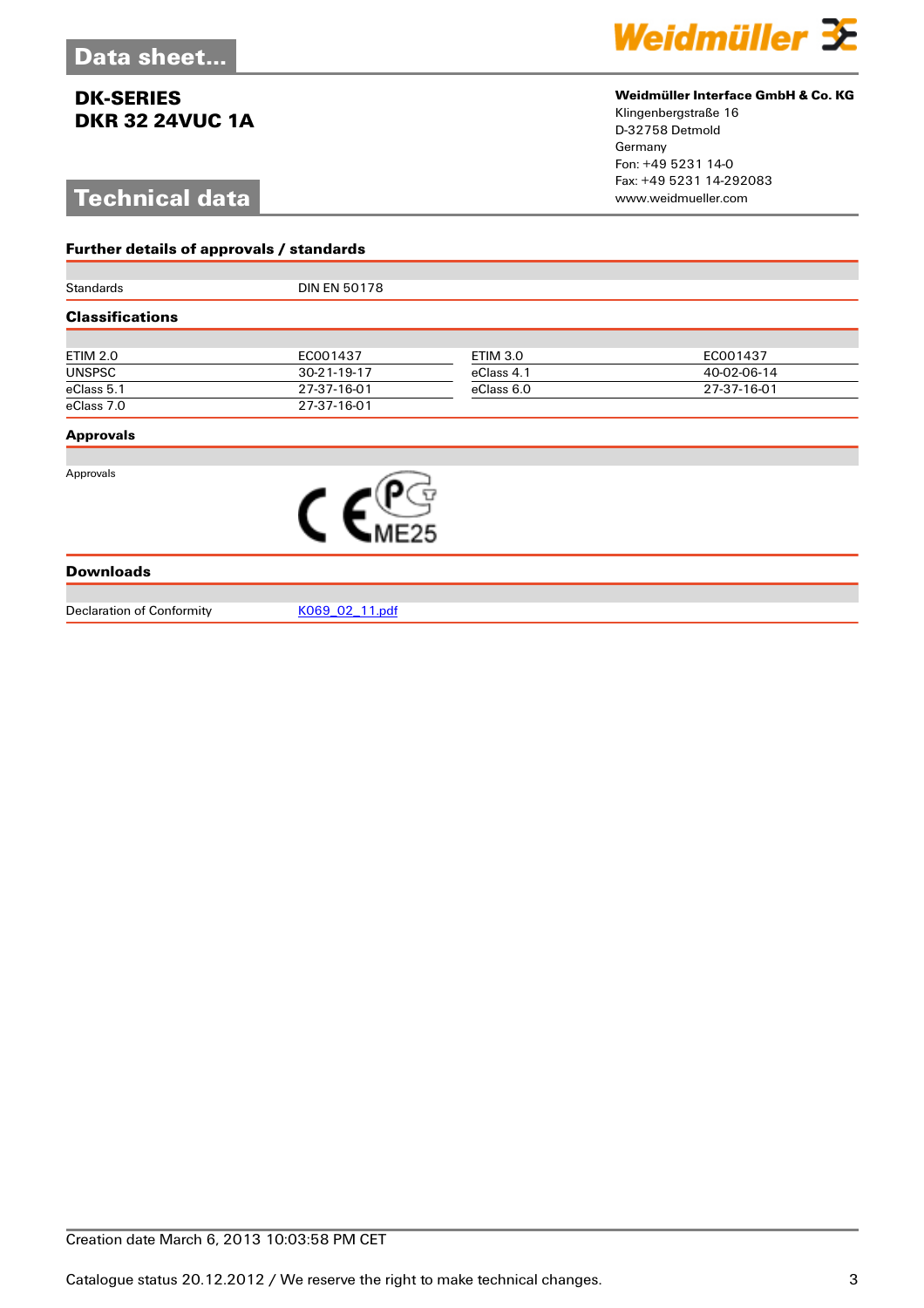# **Technical data**

**Further details of approvals / standards**



#### **Weidmüller Interface GmbH & Co. KG**

Klingenbergstraße 16 D-32758 Detmold Germany Fon: +49 5231 14-0 Fax: +49 5231 14-292083

| Standards              | <b>DIN EN 50178</b> |                 |             |  |  |
|------------------------|---------------------|-----------------|-------------|--|--|
| <b>Classifications</b> |                     |                 |             |  |  |
|                        |                     |                 |             |  |  |
| <b>ETIM 2.0</b>        | EC001437            | <b>ETIM 3.0</b> | EC001437    |  |  |
| <b>UNSPSC</b>          | 30-21-19-17         | eClass 4.1      | 40-02-06-14 |  |  |
| eClass 5.1             | 27-37-16-01         | eClass 6.0      | 27-37-16-01 |  |  |
| eClass 7.0             | 27-37-16-01         |                 |             |  |  |
| <b>Approvals</b>       |                     |                 |             |  |  |
| Approvals              |                     |                 |             |  |  |
|                        |                     |                 |             |  |  |
| <b>Downloads</b>       |                     |                 |             |  |  |

Declaration of Conformity [K069\\_02\\_11.pdf](http://catalog.weidmueller.com/assets/PDF/K069_02_11.pdf)